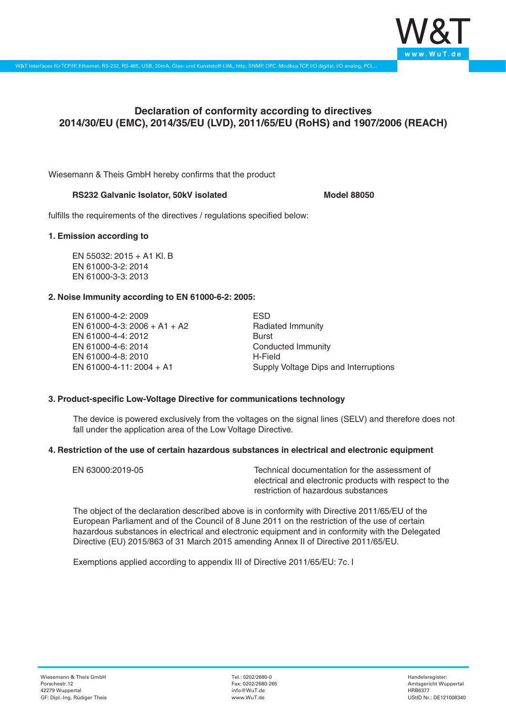

# **Declaration of conformity according to directives 2014/30/EU (EMC), 2014/35/EU (LVD), 2011/65/EU (RoHS) and 1907/2006 (REACH)**

Wiesemann & Theis GmbH hereby confirms that the product

## RS232 Galvanic Isolator, 50kV isolated **Model 88050**

fulfills the requirements of the directives / regulations specified below:

#### **1. Emission according to**

EN 55032: 2015 + A1 Kl. B EN 61000-3-2: 2014 EN 61000-3-3: 2013

## **2. Noise Immunity according to EN 61000-6-2: 2005:**

EN 61000-4-2: 2009 EN 61000-4-3: 2006 + A1 + A2 EN 61000-4-4: 2012 EN 61000-4-6: 2014 EN 61000-4-8: 2010 EN 61000-4-11: 2004 + A1

ESD Radiated Immunity Burst Conducted Immunity H-Field Supply Voltage Dips and Interruptions

## **3. Product-specific Low-Voltage Directive for communications technology**

The device is powered exclusively from the voltages on the signal lines (SELV) and therefore does not fall under the application area of the Low Voltage Directive.

#### **4. Restriction of the use of certain hazardous substances in electrical and electronic equipment**

| EN 63000:2019-05 | Technical documentation for the assessment of          |
|------------------|--------------------------------------------------------|
|                  | electrical and electronic products with respect to the |
|                  | restriction of hazardous substances                    |

The object of the declaration described above is in conformity with Directive 2011/65/EU of the European Parliament and of the Council of 8 June 2011 on the restriction of the use of certain hazardous substances in electrical and electronic equipment and in conformity with the Delegated Directive (EU) 2015/863 of 31 March 2015 amending Annex II of Directive 2011/65/EU.

Exemptions applied according to appendix III of Directive 2011/65/EU: 7c. I